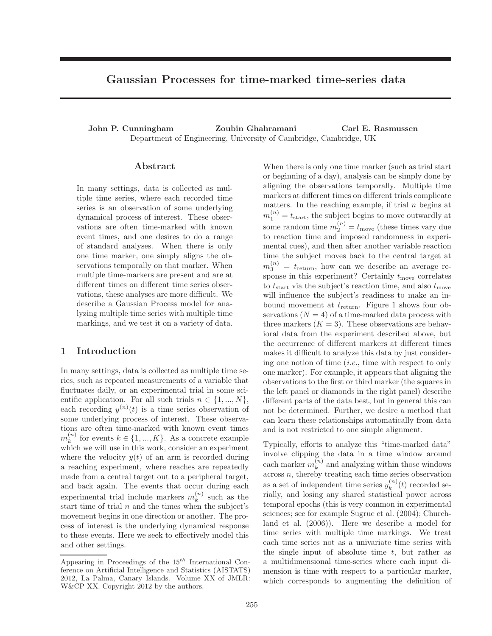# Gaussian Processes for time-marked time-series data

John P. Cunningham Zoubin Ghahramani Carl E. Rasmussen Department of Engineering, University of Cambridge, Cambridge, UK

### Abstract

In many settings, data is collected as multiple time series, where each recorded time series is an observation of some underlying dynamical process of interest. These observations are often time-marked with known event times, and one desires to do a range of standard analyses. When there is only one time marker, one simply aligns the observations temporally on that marker. When multiple time-markers are present and are at different times on different time series observations, these analyses are more difficult. We describe a Gaussian Process model for analyzing multiple time series with multiple time markings, and we test it on a variety of data.

### 1 Introduction

In many settings, data is collected as multiple time series, such as repeated measurements of a variable that fluctuates daily, or an experimental trial in some scientific application. For all such trials  $n \in \{1, ..., N\},\$ each recording  $y^{(n)}(t)$  is a time series observation of some underlying process of interest. These observations are often time-marked with known event times  $m_k^{(n)}$  $\binom{n}{k}$  for events  $k \in \{1, ..., K\}$ . As a concrete example which we will use in this work, consider an experiment where the velocity  $y(t)$  of an arm is recorded during a reaching experiment, where reaches are repeatedly made from a central target out to a peripheral target, and back again. The events that occur during each experimental trial include markers  $m_k^{(n)}$  $\binom{n}{k}$  such as the start time of trial  $n$  and the times when the subject's movement begins in one direction or another. The process of interest is the underlying dynamical response to these events. Here we seek to effectively model this and other settings.

When there is only one time marker (such as trial start or beginning of a day), analysis can be simply done by aligning the observations temporally. Multiple time markers at different times on different trials complicate matters. In the reaching example, if trial  $n$  begins at  $m_1^{(n)} = t_{\text{start}}$ , the subject begins to move outwardly at some random time  $m_2^{(n)} = t_{\text{move}}$  (these times vary due to reaction time and imposed randomness in experimental cues), and then after another variable reaction time the subject moves back to the central target at  $m_3^{(n)} = t_{\text{return}}$ , how can we describe an average response in this experiment? Certainly  $t_{\text{move}}$  correlates to  $t_{\text{start}}$  via the subject's reaction time, and also  $t_{\text{move}}$ will influence the subject's readiness to make an inbound movement at  $t_{\text{return}}$ . Figure 1 shows four observations  $(N = 4)$  of a time-marked data process with three markers  $(K = 3)$ . These observations are behavioral data from the experiment described above, but the occurrence of different markers at different times makes it difficult to analyze this data by just considering one notion of time  $(i.e.,$  time with respect to only one marker). For example, it appears that aligning the observations to the first or third marker (the squares in the left panel or diamonds in the right panel) describe different parts of the data best, but in general this can not be determined. Further, we desire a method that can learn these relationships automatically from data and is not restricted to one simple alignment.

Typically, efforts to analyze this "time-marked data" involve clipping the data in a time window around each marker  $m_k^{(n)}$  $k^{(n)}$  and analyzing within those windows  $\alpha$  across *n*, thereby treating each time series observation as a set of independent time series  $y_k^{(n)}$  $k^{(n)}(t)$  recorded serially, and losing any shared statistical power across temporal epochs (this is very common in experimental sciences; see for example Sugrue et al. (2004); Churchland et al. (2006)). Here we describe a model for time series with multiple time markings. We treat each time series not as a univariate time series with the single input of absolute time  $t$ , but rather as a multidimensional time-series where each input dimension is time with respect to a particular marker, which corresponds to augmenting the definition of

Appearing in Proceedings of the  $15^{th}$  International Conference on Artificial Intelligence and Statistics (AISTATS) 2012, La Palma, Canary Islands. Volume XX of JMLR: W&CP XX. Copyright 2012 by the authors.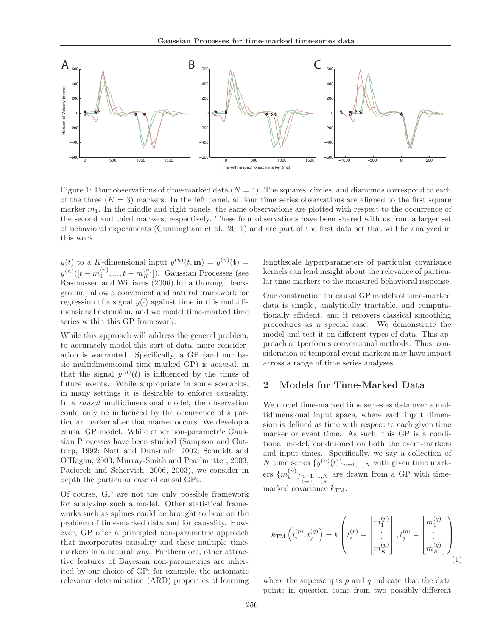

Figure 1: Four observations of time-marked data  $(N = 4)$ . The squares, circles, and diamonds correspond to each of the three  $(K = 3)$  markers. In the left panel, all four time series observations are aligned to the first square marker  $m_1$ . In the middle and right panels, the same observations are plotted with respect to the occurrence of the second and third markers, respectively. These four observations have been shared with us from a larger set of behavioral experiments (Cunningham et al., 2011) and are part of the first data set that will be analyzed in this work.

 $y(t)$  to a K-dimensional input  $y^{(n)}(t, \mathbf{m}) = y^{(n)}(t) =$  $y^{(n)}([t-m_1^{(n)},...,t-m_K^{(n)}]).$  Gaussian Processes (see Rasmussen and Williams (2006) for a thorough background) allow a convenient and natural framework for regression of a signal  $y(\cdot)$  against time in this multidimensional extension, and we model time-marked time series within this GP framework.

While this approach will address the general problem, to accurately model this sort of data, more consideration is warranted. Specifically, a GP (and our basic multidimensional time-marked GP) is acausal, in that the signal  $y^{(n)}(t)$  is influenced by the times of future events. While appropriate in some scenarios, in many settings it is desirable to enforce causality. In a causal multidimensional model, the observation could only be influenced by the occurrence of a particular marker after that marker occurs. We develop a causal GP model. While other non-parametric Gaussian Processes have been studied (Sampson and Guttorp, 1992; Nott and Dunsmuir, 2002; Schmidt and O'Hagan, 2003; Murray-Smith and Pearlmutter, 2003; Paciorek and Schervish, 2006, 2003), we consider in depth the particular case of causal GPs.

Of course, GP are not the only possible framework for analyzing such a model. Other statistical frameworks such as splines could be brought to bear on the problem of time-marked data and for causality. However, GP offer a principled non-parametric approach that incorporates causality and these multiple timemarkers in a natural way. Furthermore, other attractive features of Bayesian non-parametrics are inherited by our choice of GP: for example, the automatic relevance determination (ARD) properties of learning lengthscale hyperparameters of particular covariance kernels can lend insight about the relevance of particular time markers to the measured behavioral response.

Our construction for causal GP models of time-marked data is simple, analytically tractable, and computationally efficient, and it recovers classical smoothing procedures as a special case. We demonstrate the model and test it on different types of data. This approach outperforms conventional methods. Thus, consideration of temporal event markers may have impact across a range of time series analyses.

### 2 Models for Time-Marked Data

We model time-marked time series as data over a multidimensional input space, where each input dimension is defined as time with respect to each given time marker or event time. As such, this GP is a conditional model, conditioned on both the event-markers and input times. Specifically, we say a collection of N time series  $\{y^{(n)}(t)\}_{n=1,\ldots,N}$  with given time markers  $\{m_k^{(n)}\}$  ${k \choose k}$ <sub> $k=1,...,N \atop k=1,...,K$ </sub> are drawn from a GP with timemarked covariance  $k_{\text{TM}}$ :

$$
k_{\rm TM}\left(t_i^{(p)}, t_j^{(q)}\right) = k \left(t_i^{(p)} - \begin{bmatrix} m_1^{(p)} \\ \vdots \\ m_K^{(p)} \end{bmatrix}, t_j^{(q)} - \begin{bmatrix} m_1^{(q)} \\ \vdots \\ m_K^{(q)} \end{bmatrix}\right)_{(1)}
$$

where the superscripts  $p$  and  $q$  indicate that the data points in question come from two possibly different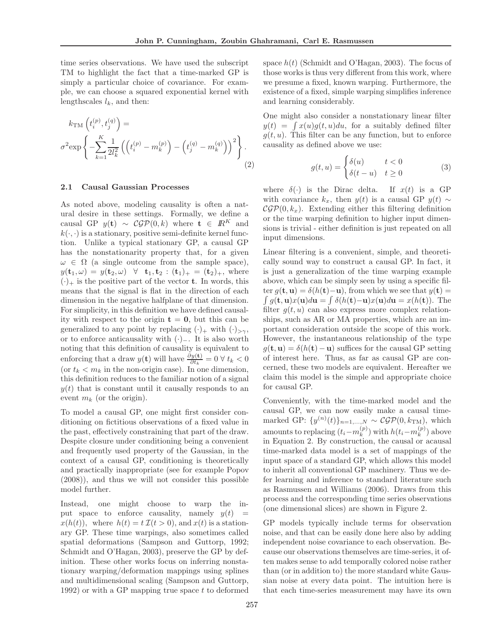time series observations. We have used the subscript TM to highlight the fact that a time-marked GP is simply a particular choice of covariance. For example, we can choose a squared exponential kernel with lengthscales  $l_k$ , and then:

$$
k_{\text{TM}}\left(t_i^{(p)}, t_j^{(q)}\right) = \sigma^2 \exp\left\{-\sum_{k=1}^K \frac{1}{2l_k^2} \left(\left(t_i^{(p)} - m_k^{(p)}\right) - \left(t_j^{(q)} - m_k^{(q)}\right)\right)^2\right\}.
$$
\n(2)

### 2.1 Causal Gaussian Processes

As noted above, modeling causality is often a natural desire in these settings. Formally, we define a causal GP  $y(t) \sim \mathcal{CGP}(0, k)$  where  $t \in \mathbb{R}^K$  and  $k(\cdot, \cdot)$  is a stationary, positive semi-definite kernel function. Unlike a typical stationary GP, a causal GP has the nonstationarity property that, for a given  $\omega \in \Omega$  (a single outcome from the sample space),  $y(\mathbf{t}_1, \omega) = y(\mathbf{t}_2, \omega) \;\; \forall \;\; \mathbf{t}_1, \mathbf{t}_2 : (\mathbf{t}_1)_+ = (\mathbf{t}_2)_+, \text{ where }$  $(\cdot)_+$  is the positive part of the vector **t**. In words, this means that the signal is flat in the direction of each dimension in the negative halfplane of that dimension. For simplicity, in this definition we have defined causality with respect to the origin  $t = 0$ , but this can be generalized to any point by replacing  $(\cdot)_+$  with  $(\cdot)_{\geq \gamma}$ , or to enforce anticausality with (·)−. It is also worth noting that this definition of causality is equivalent to enforcing that a draw  $y(\mathbf{t})$  will have  $\frac{\partial y(\mathbf{t})}{\partial t_k} = 0 \forall t_k < 0$ (or  $t_k < m_k$  in the non-origin case). In one dimension, this definition reduces to the familiar notion of a signal  $y(t)$  that is constant until it causally responds to an event  $m_k$  (or the origin).

To model a causal GP, one might first consider conditioning on fictitious observations of a fixed value in the past, effectively constraining that part of the draw. Despite closure under conditioning being a convenient and frequently used property of the Gaussian, in the context of a causal GP, conditioning is theoretically and practically inappropriate (see for example Popov (2008)), and thus we will not consider this possible model further.

Instead, one might choose to warp the input space to enforce causality, namely  $y(t)$  =  $x(h(t))$ , where  $h(t) = t \mathcal{I}(t > 0)$ , and  $x(t)$  is a stationary GP. These time warpings, also sometimes called spatial deformations (Sampson and Guttorp, 1992; Schmidt and O'Hagan, 2003), preserve the GP by definition. These other works focus on inferring nonstationary warping/deformation mappings using splines and multidimensional scaling (Sampson and Guttorp, 1992) or with a GP mapping true space  $t$  to deformed space  $h(t)$  (Schmidt and O'Hagan, 2003). The focus of those works is thus very different from this work, where we presume a fixed, known warping. Furthermore, the existence of a fixed, simple warping simplifies inference and learning considerably.

One might also consider a nonstationary linear filter  $y(t) = \int x(u)g(t, u)du$ , for a suitably defined filter  $g(t, u)$ . This filter can be any function, but to enforce causality as defined above we use:

$$
g(t, u) = \begin{cases} \delta(u) & t < 0 \\ \delta(t - u) & t \ge 0 \end{cases} \tag{3}
$$

where  $\delta(\cdot)$  is the Dirac delta. If  $x(t)$  is a GP with covariance  $k_x$ , then  $y(t)$  is a causal GP  $y(t) \sim$  $\mathcal{CGP}(0, k_x)$ . Extending either this filtering definition or the time warping definition to higher input dimensions is trivial - either definition is just repeated on all input dimensions.

Linear filtering is a convenient, simple, and theoretically sound way to construct a causal GP. In fact, it is just a generalization of the time warping example above, which can be simply seen by using a specific filter  $g(\mathbf{t}, \mathbf{u}) = \delta(h(\mathbf{t})-\mathbf{u})$ , from which we see that  $y(\mathbf{t}) =$  $\int g(\mathbf{t}, \mathbf{u}) x(\mathbf{u}) d\mathbf{u} = \int \delta(h(\mathbf{t}) - \mathbf{u}) x(\mathbf{u}) d\mathbf{u} = x(h(\mathbf{t})).$  The filter  $g(t, u)$  can also express more complex relationships, such as AR or MA properties, which are an important consideration outside the scope of this work. However, the instantaneous relationship of the type  $g(\mathbf{t}, \mathbf{u}) = \delta(h(\mathbf{t}) - \mathbf{u})$  suffices for the causal GP setting of interest here. Thus, as far as causal GP are concerned, these two models are equivalent. Hereafter we claim this model is the simple and appropriate choice for causal GP.

Conveniently, with the time-marked model and the causal GP, we can now easily make a causal timemarked GP:  $\{y^{(n)}(t)\}_{n=1,\dots,N} \sim \mathcal{CGP}(0, k_{TM})$ , which amounts to replacing  $(t_i - m_k^{(p)})$  $\binom{p}{k}$  with  $h(t_i-m_k^{(p)})$  $\binom{(P)}{k}$  above in Equation 2. By construction, the causal or acausal time-marked data model is a set of mappings of the input space of a standard GP, which allows this model to inherit all conventional GP machinery. Thus we defer learning and inference to standard literature such as Rasmussen and Williams (2006). Draws from this process and the corresponding time series observations (one dimensional slices) are shown in Figure 2.

GP models typically include terms for observation noise, and that can be easily done here also by adding independent noise covariance to each observation. Because our observations themselves are time-series, it often makes sense to add temporally colored noise rather than (or in addition to) the more standard white Gaussian noise at every data point. The intuition here is that each time-series measurement may have its own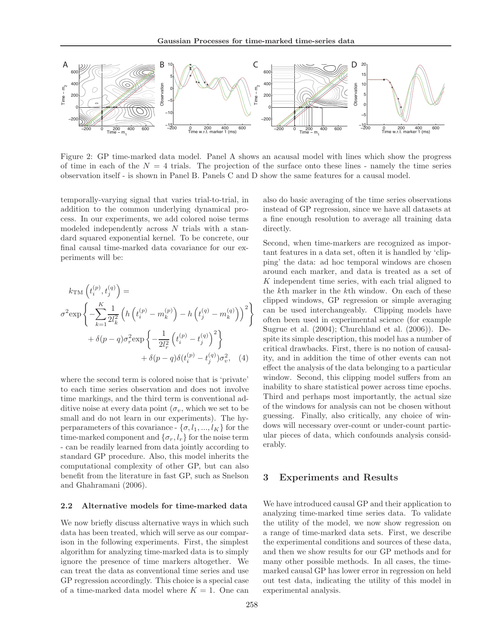

Figure 2: GP time-marked data model. Panel A shows an acausal model with lines which show the progress of time in each of the  $N = 4$  trials. The projection of the surface onto these lines - namely the time series observation itself - is shown in Panel B. Panels C and D show the same features for a causal model.

temporally-varying signal that varies trial-to-trial, in addition to the common underlying dynamical process. In our experiments, we add colored noise terms modeled independently across N trials with a standard squared exponential kernel. To be concrete, our final causal time-marked data covariance for our experiments will be:

$$
k_{\rm TM} \left( t_i^{(p)}, t_j^{(q)} \right) =
$$
  

$$
\sigma^2 \exp \left\{ - \sum_{k=1}^K \frac{1}{2l_k^2} \left( h \left( t_i^{(p)} - m_k^{(p)} \right) - h \left( t_j^{(q)} - m_k^{(q)} \right) \right)^2 \right\}
$$
  

$$
+ \delta(p - q) \sigma_r^2 \exp \left\{ - \frac{1}{2l_r^2} \left( t_i^{(p)} - t_j^{(q)} \right)^2 \right\}
$$
  

$$
+ \delta(p - q) \delta(t_i^{(p)} - t_j^{(q)}) \sigma_v^2, \quad (4)
$$

where the second term is colored noise that is 'private' to each time series observation and does not involve time markings, and the third term is conventional additive noise at every data point  $(\sigma_v,$  which we set to be small and do not learn in our experiments). The hyperparameters of this covariance -  $\{\sigma, l_1, ..., l_K\}$  for the time-marked component and  $\{\sigma_r, l_r\}$  for the noise term - can be readily learned from data jointly according to standard GP procedure. Also, this model inherits the computational complexity of other GP, but can also benefit from the literature in fast GP, such as Snelson and Ghahramani (2006).

#### 2.2 Alternative models for time-marked data

We now briefly discuss alternative ways in which such data has been treated, which will serve as our comparison in the following experiments. First, the simplest algorithm for analyzing time-marked data is to simply ignore the presence of time markers altogether. We can treat the data as conventional time series and use GP regression accordingly. This choice is a special case of a time-marked data model where  $K = 1$ . One can also do basic averaging of the time series observations instead of GP regression, since we have all datasets at a fine enough resolution to average all training data directly.

Second, when time-markers are recognized as important features in a data set, often it is handled by 'clipping' the data: ad hoc temporal windows are chosen around each marker, and data is treated as a set of K independent time series, with each trial aligned to the kth marker in the kth window. On each of these clipped windows, GP regression or simple averaging can be used interchangeably. Clipping models have often been used in experimental science (for example Sugrue et al. (2004); Churchland et al. (2006)). Despite its simple description, this model has a number of critical drawbacks. First, there is no notion of causality, and in addition the time of other events can not effect the analysis of the data belonging to a particular window. Second, this clipping model suffers from an inability to share statistical power across time epochs. Third and perhaps most importantly, the actual size of the windows for analysis can not be chosen without guessing. Finally, also critically, any choice of windows will necessary over-count or under-count particular pieces of data, which confounds analysis considerably.

### 3 Experiments and Results

We have introduced causal GP and their application to analyzing time-marked time series data. To validate the utility of the model, we now show regression on a range of time-marked data sets. First, we describe the experimental conditions and sources of these data, and then we show results for our GP methods and for many other possible methods. In all cases, the timemarked causal GP has lower error in regression on held out test data, indicating the utility of this model in experimental analysis.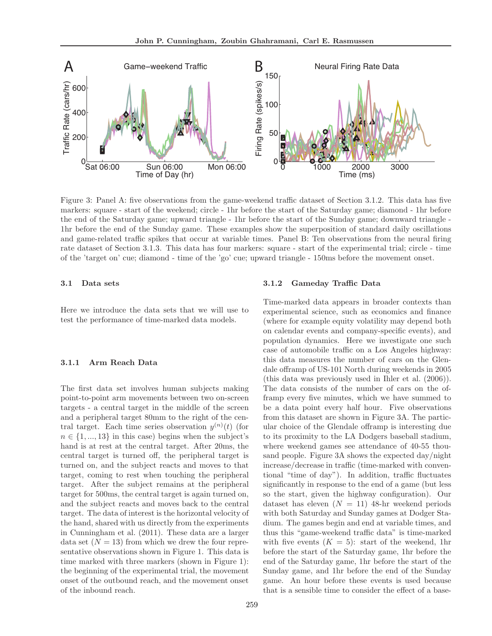

Figure 3: Panel A: five observations from the game-weekend traffic dataset of Section 3.1.2. This data has five markers: square - start of the weekend; circle - 1hr before the start of the Saturday game; diamond - 1hr before the end of the Saturday game; upward triangle - 1hr before the start of the Sunday game; downward triangle - 1hr before the end of the Sunday game. These examples show the superposition of standard daily oscillations and game-related traffic spikes that occur at variable times. Panel B: Ten observations from the neural firing rate dataset of Section 3.1.3. This data has four markers: square - start of the experimental trial; circle - time of the 'target on' cue; diamond - time of the 'go' cue; upward triangle - 150ms before the movement onset.

#### 3.1 Data sets

Here we introduce the data sets that we will use to test the performance of time-marked data models.

#### 3.1.1 Arm Reach Data

The first data set involves human subjects making point-to-point arm movements between two on-screen targets - a central target in the middle of the screen and a peripheral target 80mm to the right of the central target. Each time series observation  $y^{(n)}(t)$  (for  $n \in \{1, ..., 13\}$  in this case) begins when the subject's hand is at rest at the central target. After 20ms, the central target is turned off, the peripheral target is turned on, and the subject reacts and moves to that target, coming to rest when touching the peripheral target. After the subject remains at the peripheral target for 500ms, the central target is again turned on, and the subject reacts and moves back to the central target. The data of interest is the horizontal velocity of the hand, shared with us directly from the experiments in Cunningham et al. (2011). These data are a larger data set  $(N = 13)$  from which we drew the four representative observations shown in Figure 1. This data is time marked with three markers (shown in Figure 1): the beginning of the experimental trial, the movement onset of the outbound reach, and the movement onset of the inbound reach.

#### 3.1.2 Gameday Traffic Data

Time-marked data appears in broader contexts than experimental science, such as economics and finance (where for example equity volatility may depend both on calendar events and company-specific events), and population dynamics. Here we investigate one such case of automobile traffic on a Los Angeles highway: this data measures the number of cars on the Glendale offramp of US-101 North during weekends in 2005 (this data was previously used in Ihler et al. (2006)). The data consists of the number of cars on the offramp every five minutes, which we have summed to be a data point every half hour. Five observations from this dataset are shown in Figure 3A. The particular choice of the Glendale offramp is interesting due to its proximity to the LA Dodgers baseball stadium, where weekend games see attendance of 40-55 thousand people. Figure 3A shows the expected day/night increase/decrease in traffic (time-marked with conventional "time of day"). In addition, traffic fluctuates significantly in response to the end of a game (but less so the start, given the highway configuration). Our dataset has eleven  $(N = 11)$  48-hr weekend periods with both Saturday and Sunday games at Dodger Stadium. The games begin and end at variable times, and thus this "game-weekend traffic data" is time-marked with five events  $(K = 5)$ : start of the weekend, 1hr before the start of the Saturday game, 1hr before the end of the Saturday game, 1hr before the start of the Sunday game, and 1hr before the end of the Sunday game. An hour before these events is used because that is a sensible time to consider the effect of a base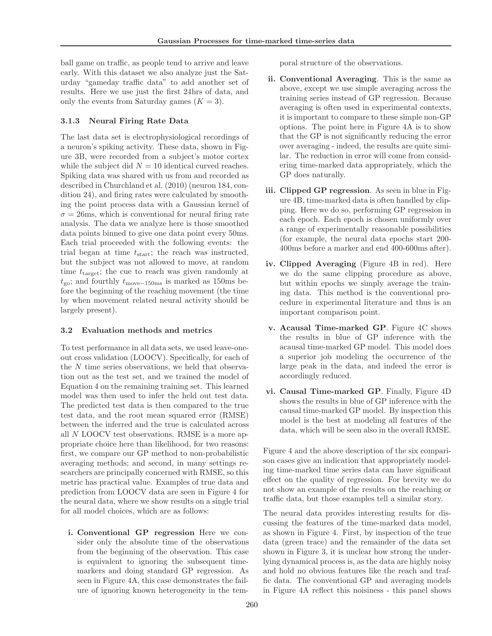ball game on traffic, as people tend to arrive and leave early. With this dataset we also analyze just the Saturday "gameday traffic data" to add another set of results. Here we use just the first 24hrs of data, and only the events from Saturday games  $(K = 3)$ .

### 3.1.3 Neural Firing Rate Data

The last data set is electrophysiological recordings of a neuron's spiking activity. These data, shown in Figure 3B, were recorded from a subject's motor cortex while the subject did  $N = 10$  identical curved reaches. Spiking data was shared with us from and recorded as described in Churchland et al. (2010) (neuron 184, condition 24), and firing rates were calculated by smoothing the point process data with a Gaussian kernel of  $\sigma = 26$ ms, which is conventional for neural firing rate analysis. The data we analyze here is those smoothed data points binned to give one data point every 50ms. Each trial proceeded with the following events: the trial began at time  $t_{\text{start}}$ ; the reach was instructed, but the subject was not allowed to move, at random time  $t_{\text{target}}$ ; the cue to reach was given randomly at  $t_{\text{go}}$ ; and fourthly  $t_{\text{move}-150\text{ms}}$  is marked as 150ms before the beginning of the reaching movement (the time by when movement related neural activity should be largely present).

### 3.2 Evaluation methods and metrics

To test performance in all data sets, we used leave-oneout cross validation (LOOCV). Specifically, for each of the  $N$  time series observations, we held that observation out as the test set, and we trained the model of Equation 4 on the remaining training set. This learned model was then used to infer the held out test data. The predicted test data is then compared to the true test data, and the root mean squared error (RMSE) between the inferred and the true is calculated across all N LOOCV test observations. RMSE is a more appropriate choice here than likelihood, for two reasons: first, we compare our GP method to non-probabilistic averaging methods; and second, in many settings researchers are principally concerned with RMSE, so this metric has practical value. Examples of true data and prediction from LOOCV data are seen in Figure 4 for the neural data, where we show results on a single trial for all model choices, which are as follows:

i. Conventional GP regression Here we consider only the absolute time of the observations from the beginning of the observation. This case is equivalent to ignoring the subsequent timemarkers and doing standard GP regression. As seen in Figure 4A, this case demonstrates the failure of ignoring known heterogeneity in the temporal structure of the observations.

- ii. Conventional Averaging. This is the same as above, except we use simple averaging across the training series instead of GP regression. Because averaging is often used in experimental contexts, it is important to compare to these simple non-GP options. The point here in Figure 4A is to show that the GP is not significantly reducing the error over averaging - indeed, the results are quite similar. The reduction in error will come from considering time-marked data appropriately, which the GP does naturally.
- iii. Clipped GP regression. As seen in blue in Figure 4B, time-marked data is often handled by clipping. Here we do so, performing GP regression in each epoch. Each epoch is chosen uniformly over a range of experimentally reasonable possibilities (for example, the neural data epochs start 200- 400ms before a marker and end 400-600ms after).
- iv. Clipped Averaging (Figure 4B in red). Here we do the same clipping procedure as above, but within epochs we simply average the training data. This method is the conventional procedure in experimental literature and thus is an important comparison point.
- v. Acausal Time-marked GP. Figure 4C shows the results in blue of GP inference with the acausal time-marked GP model. This model does a superior job modeling the occurrence of the large peak in the data, and indeed the error is accordingly reduced.
- vi. Causal Time-marked GP. Finally, Figure 4D shows the results in blue of GP inference with the causal time-marked GP model. By inspection this model is the best at modeling all features of the data, which will be seen also in the overall RMSE.

Figure 4 and the above description of the six comparison cases give an indication that appropriately modeling time-marked time series data can have significant effect on the quality of regression. For brevity we do not show an example of the results on the reaching or traffic data, but those examples tell a similar story.

The neural data provides interesting results for discussing the features of the time-marked data model, as shown in Figure 4. First, by inspection of the true data (green trace) and the remainder of the data set shown in Figure 3, it is unclear how strong the underlying dynamical process is, as the data are highly noisy and hold no obvious features like the reach and traffic data. The conventional GP and averaging models in Figure 4A reflect this noisiness - this panel shows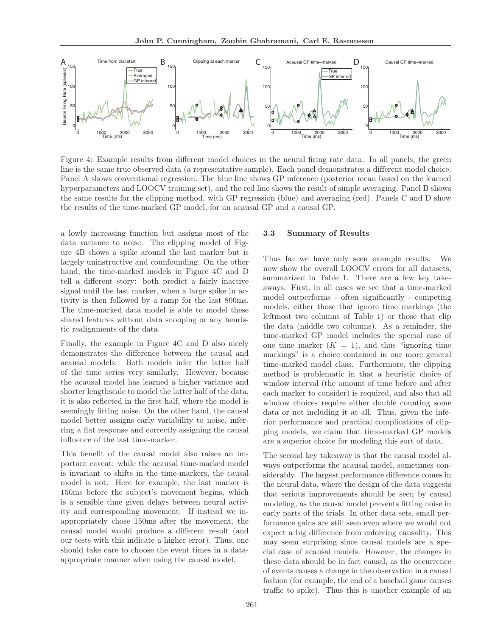

Figure 4: Example results from different model choices in the neural firing rate data. In all panels, the green line is the same true observed data (a representative sample). Each panel demonstrates a different model choice. Panel A shows conventional regression. The blue line shows GP inference (posterior mean based on the learned hyperparameters and LOOCV training set), and the red line shows the result of simple averaging. Panel B shows the same results for the clipping method, with GP regression (blue) and averaging (red). Panels C and D show the results of the time-marked GP model, for an acausal GP and a causal GP.

a lowly increasing function but assigns most of the data variance to noise. The clipping model of Figure 4B shows a spike around the last marker but is largely uninstructive and counfounding. On the other hand, the time-marked models in Figure 4C and D tell a different story: both predict a fairly inactive signal until the last marker, when a large spike in activity is then followed by a ramp for the last 800ms. The time-marked data model is able to model these shared features without data snooping or any heuristic realignments of the data.

Finally, the example in Figure 4C and D also nicely demonstrates the difference between the causal and acausal models. Both models infer the latter half of the time series very similarly. However, because the acausal model has learned a higher variance and shorter lengthscale to model the latter half of the data, it is also reflected in the first half, where the model is seemingly fitting noise. On the other hand, the causal model better assigns early variability to noise, inferring a flat response and correctly assigning the causal influence of the last time-marker.

This benefit of the causal model also raises an important caveat: while the acausal time-marked model is invariant to shifts in the time-markers, the causal model is not. Here for example, the last marker is 150ms before the subject's movement begins, which is a sensible time given delays between neural activity and corresponding movement. If instead we inappropriately chose 150ms after the movement, the causal model would produce a different result (and our tests with this indicate a higher error). Thus, one should take care to choose the event times in a dataappropriate manner when using the causal model.

#### 3.3 Summary of Results

Thus far we have only seen example results. We now show the overall LOOCV errors for all datasets, summarized in Table 1. There are a few key takeaways. First, in all cases we see that a time-marked model outperforms - often significantly - competing models, either those that ignore time markings (the leftmost two columns of Table 1) or those that clip the data (middle two columns). As a reminder, the time-marked GP model includes the special case of one time marker  $(K = 1)$ , and thus "ignoring time" markings" is a choice contained in our more general time-marked model class. Furthermore, the clipping method is problematic in that a heuristic choice of window interval (the amount of time before and after each marker to consider) is required, and also that all window choices require either double counting some data or not including it at all. Thus, given the inferior performance and practical complications of clipping models, we claim that time-marked GP models are a superior choice for modeling this sort of data.

The second key takeaway is that the causal model always outperforms the acausal model, sometimes considerably. The largest performance difference comes in the neural data, where the design of the data suggests that serious improvements should be seen by causal modeling, as the causal model prevents fitting noise in early parts of the trials. In other data sets, small performance gains are still seen even where we would not expect a big difference from enforcing causality. This may seem surprising since causal models are a special case of acausal models. However, the changes in these data should be in fact causal, as the occurrence of events causes a change in the observation in a causal fashion (for example, the end of a baseball game causes traffic to spike). Thus this is another example of an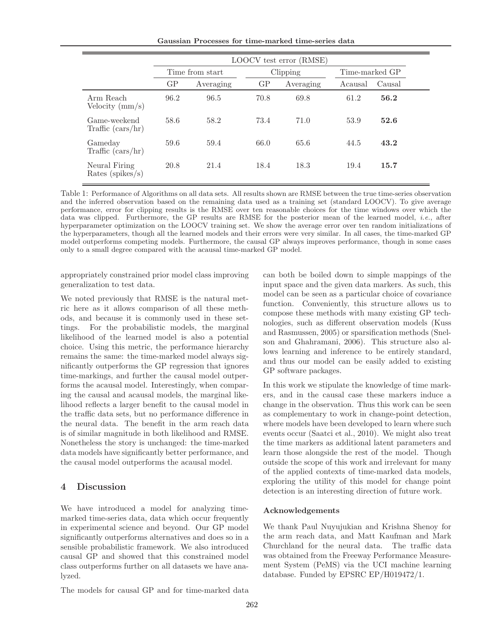Gaussian Processes for time-marked time-series data

|                                       | LOOCV test error (RMSE) |           |          |           |                |        |  |
|---------------------------------------|-------------------------|-----------|----------|-----------|----------------|--------|--|
|                                       | Time from start         |           | Clipping |           | Time-marked GP |        |  |
|                                       | GP                      | Averaging | GP       | Averaging | Acausal        | Causal |  |
| Arm Reach<br>Velocity $\langle$ mm/s) | 96.2                    | 96.5      | 70.8     | 69.8      | 61.2           | 56.2   |  |
| Game-weekend<br>Traffic $(cars/hr)$   | 58.6                    | 58.2      | 73.4     | 71.0      | 53.9           | 52.6   |  |
| Gameday<br>Traffic $(cars/hr)$        | 59.6                    | 59.4      | 66.0     | 65.6      | 44.5           | 43.2   |  |
| Neural Firing<br>Rates ( $spikes/s$ ) | 20.8                    | 21.4      | 18.4     | 18.3      | 19.4           | 15.7   |  |

Table 1: Performance of Algorithms on all data sets. All results shown are RMSE between the true time-series observation and the inferred observation based on the remaining data used as a training set (standard LOOCV). To give average performance, error for clipping results is the RMSE over ten reasonable choices for the time windows over which the data was clipped. Furthermore, the GP results are RMSE for the posterior mean of the learned model, *i.e.*, after hyperparameter optimization on the LOOCV training set. We show the average error over ten random initializations of the hyperparameters, though all the learned models and their errors were very similar. In all cases, the time-marked GP model outperforms competing models. Furthermore, the causal GP always improves performance, though in some cases only to a small degree compared with the acausal time-marked GP model.

appropriately constrained prior model class improving generalization to test data.

We noted previously that RMSE is the natural metric here as it allows comparison of all these methods, and because it is commonly used in these settings. For the probabilistic models, the marginal likelihood of the learned model is also a potential choice. Using this metric, the performance hierarchy remains the same: the time-marked model always significantly outperforms the GP regression that ignores time-markings, and further the causal model outperforms the acausal model. Interestingly, when comparing the causal and acausal models, the marginal likelihood reflects a larger benefit to the causal model in the traffic data sets, but no performance difference in the neural data. The benefit in the arm reach data is of similar magnitude in both likelihood and RMSE. Nonetheless the story is unchanged: the time-marked data models have significantly better performance, and the causal model outperforms the acausal model.

## 4 Discussion

We have introduced a model for analyzing timemarked time-series data, data which occur frequently in experimental science and beyond. Our GP model significantly outperforms alternatives and does so in a sensible probabilistic framework. We also introduced causal GP and showed that this constrained model class outperforms further on all datasets we have analyzed.

can both be boiled down to simple mappings of the input space and the given data markers. As such, this model can be seen as a particular choice of covariance function. Conveniently, this structure allows us to compose these methods with many existing GP technologies, such as different observation models (Kuss and Rasmussen, 2005) or sparsification methods (Snelson and Ghahramani, 2006). This structure also allows learning and inference to be entirely standard, and thus our model can be easily added to existing GP software packages.

In this work we stipulate the knowledge of time markers, and in the causal case these markers induce a change in the observation. Thus this work can be seen as complementary to work in change-point detection, where models have been developed to learn where such events occur (Saatci et al., 2010). We might also treat the time markers as additional latent parameters and learn those alongside the rest of the model. Though outside the scope of this work and irrelevant for many of the applied contexts of time-marked data models, exploring the utility of this model for change point detection is an interesting direction of future work.

### Acknowledgements

We thank Paul Nuyujukian and Krishna Shenoy for the arm reach data, and Matt Kaufman and Mark Churchland for the neural data. The traffic data was obtained from the Freeway Performance Measurement System (PeMS) via the UCI machine learning database. Funded by EPSRC EP/H019472/1.

The models for causal GP and for time-marked data